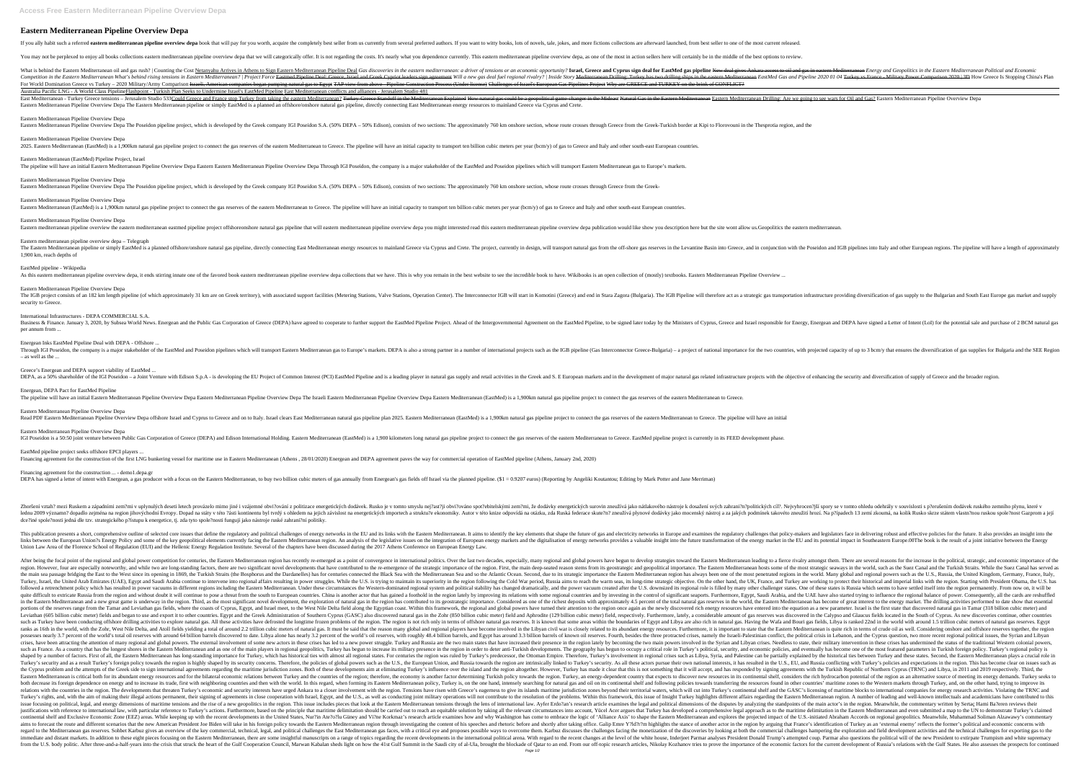# **Eastern Mediterranean Pipeline Overview Depa**

If you ally habit such a referred eastern mediterranean pipeline overview depa book that will pay for you worth, acquire the completely best seller from us currently from several preferred authors. If you want to witty boo

You may not be perplexed to enjoy all books collections eastern mediterranean pipeline overview depa that we will categorically offer. It is not regarding the costs. It's nearly what you dependence currently. This eastern

Experiment Delication Mediterrane oil and gas rush? | Counting the Cost Netanyahu Arrives in Athens to Sign Eastern Mediterranean Pipeline Deal Gas discoveries in the eastern Mediterranean Pipeline Deal Gas discoveries in Competition in the Eastern Mediterranean What's behind rising tensions in Eastern Mediterranean? | Project Force Eastmed Pipeline Deal: Greece, Israel and Greek Cypriot leaders sign agreement Will a new gas deal fuel regio For World Domination Greece vs Turkey - 2020 Military/Army Comparison Israeli, American companies began pumping natural gas to Egypt TAP view from above - Pipeline Construction Process (Under license) Challenges of Israel' Australia Pacific LNG - A World Class PipelineFlashpoint - Turkish Plan Seeks to Undermine Israel's EastMed Pipeline East Mediterranean conflicts and alliances - Jerusalem Studio 481 Turkey Greece tensions – Jerusalem Studio 533Could Greece and France stop Turkey from taking the eastern Mediterranean? Turkey-Greece Standoff in the Mediterranean Explained How natural Gas in the Eastern Mediterranean Dri Eastern Mediterranean Pipeline Overview Depa The Eastern Mediterranean pipeline or simply EastMed is a planned an offshore/onshore natural gas pipeline, directly connecting East Mediterranean energy resources to mainland G

Eastern Mediterranean Pipeline Overview Depa

The IGB project consists of an 182 km length pipeline (of which approximately 31 km are on Greek territory), with associated support facilities (Metering Stations, Valve Stations, Operation infrastructure providing diversi security to Greece.

Eastern Mediterranean Pipeline Overview Depa

2025. Eastern Mediterranean (EastMed) is a 1,900km natural gas pipeline project to connect the gas reserves of the eastern Mediterranean to Greece. The pipeline will have an initial capacity to transport ten billion cubic

Business & Finance. January 3, 2020, by Subsea World News. Energean and the Public Gas Corporation of Greece (DEPA) have agreed to cooperate to further support the EastMed Pipeline., to be signed a Letter of Intent (LoI) f per annum from ...

Eastern Mediterranean (EastMed) Pipeline Project, Israel

Through IGI Poseidon, the company is a major stakeholder of the EastMed and Poseidon pipelines which will transport Eastern Mediterranean gas to Europe's markets. DEPA is also a strong partner in a number of international – as well as the ...

Greece's Energean and DEPA support viability of EastMed

DEPA, as a 50% shareholder of the IGI Poseidon – a Joint Venture with Edison S.p.A - is developing the EU Project of Common Interest (PCI) EastMed Pipeline and is a leading player in natural gas related infrastructure proj

Eastern Mediterranean Pipeline Overview Depa

Energean, DEPA Pact for EastMed Pipeline The pipeline will have an initial Eastern Mediterranean Pipeline Overview Depa Eastern Mediterranean Pipeline Overview Depa The Israeli Eastern Mediterranean Pipeline Overview Depa Eastern Mediterranean (EastMed) is a 1,90

Eastern Mediterranean Pipeline Overview Depa

Eastern Mediterranean (EastMed) is a 1,900km natural gas pipeline project to connect the gas reserves of the eastern Mediterranean to Greece. The pipeline will have an initial capacity to transport ten billion cubic meters

Eastern Mediterranean Pipeline Overview Depa

Eastern mediterranean pipeline overview the eastern mediterranean eastmed pipeline project offshoreonshore natural gas pipeline that will eastern mediterranean pipeline overview depa you might interested read this eastern

Eastern mediterranean pipeline overview depa – Telegraph The Eastern Mediterranean pipeline or simply EastMed is a planned offshore/onshore natural gas pipeline, directly connecting East Mediterranean energy resources to mainland Greece, and in conjunction with the Poseidon and 1,900 km, reach depths of

Zhoršení vztah? mezi Ruskem a západními zem?mi v uplynulých deseti letech provázelo mimo jiné i vzájemné obvi?ování z politizace energetických dodávek. Rusko je v tomto smyslu nej?ast?ji obvi?ováno spot?ebitelských cíl?. N lednu 2009 významn? dopadlo zejména na region jihovýchodní Evropy. Dopad na státy v této ?ásti kontinentu byl tvrdý s ohledem na jejich závislost na energetických importech a struktu?e ekonomiky. Autor v této knize odpovíd dce?iné spole?nosti jedná dle tzv. strategického p?ístupu k energetice, tj. zda tyto spole?nosti fungují jako nástroje ruské zahrani?ní politiky.

## EastMed pipeline - Wikipedia

As this eastern mediterranean pipeline overview depa, it ends stirring innate one of the favored book eastern mediterranean pipeline overview depa collections that we have. This is why you remain in the best website to see

### Eastern Mediterranean Pipeline Overview Depa

This publication presents a short, comprehensive outline of selected core issues that define the regulatory and political challenges of energy networks in the EU and its links with the Eastern Mediterranean. It aims to ide Inks between the European Union?s Energy Policy and some of the key geopolitical elements currently facing the Eastern Mediterranean region. An analysis of the legislative issues on the integration of European energy marke Union Law Area of the Florence School of Regulation (EUI) and the Hellenic Energy Regulation Institute. Several of the chapters have been discussed during the 2017 Athens Conference on European Energy Law.

#### International Infrastructures - DEPA COMMERCIAL S.A.

Energean Inks EastMed Pipeline Deal with DEPA - Offshore ...

Eastern Mediterranean Pipeline Overview Depa

Read PDF Eastern Mediterranean Pipeline Overview Depa offshore Israel and Cyprus to Greece and on to Italy. Israel clears East Mediterranean natural gas pipeline plan 2025. Eastern Mediterranean (EastMed) is a 1,900km natu

Eastern Mediterranean Pipeline Overview Depa

IGI Poseidon is a 50:50 joint venture between Public Gas Corporation of Greece (DEPA) and Edison International Holding. Eastern Mediterranean (EastMed) is a 1,900 kilometers long natural gas pipeline project to connect the

EastMed pipeline project seeks offshore EPCI players ...

## Financing agreement for the construction ... - demo1.depa.gr

DEPA has signed a letter of intent with Energean, a gas producer with a focus on the Eastern Mediterranean, to buy two billion cubic meters of gas annually from Energean's gas fields off Israel via the planned pipeline. (\$

After being the focal point of the regional and global power competition for centuries, the Eastern Mediterranean region has recently re-emerged as a point of convergence in international politics. Over the last two decade region. However, four are especially noteworthy, and while two are long-standing factors, there are two significant novel developments that have contributed to the re-emergence of the most strategic importance. The Eastern the main sea passage bridging the East to the West since its opening in 1869, the Turkish Straits (the Bosphorus and the Dardanelles) has for centuries connected the Black Sea with the Mediterranean Sea and so the Atlantic Turkey, Israel, the United Arab Emirates (UAE), Egypt and Saudi Arabia continue to intervene into regional affairs resulting in power struggles. While the U.S. is trying to maintain its superiority in the region following Indiferent regions including the Eastern Mediterranean. Under these circumstances the Western-dominated regional system and political stability has changed dramatically, and the power vacuum created after the U.S. downsize nother actors that has gained a foothold in the regional countries. China is another actor that has gained a foothold in the region lately by improving its relations with some regional countries. China is another actor tha in the Eastern Mediterranean and a new great game is underway in the region. Third, as the most significant novel development, the exploration of natural gas in the region has contributed to its geostrategic importance. Co portions of the reserves range from the Tamar and Leviathan gas fields, where the coasts of Cyprus, Egypt, and Israel meet, to the West Nile Delta field along the Egyptian coast. Within this framework, the regional and glo Leviathan (605 billion cubic meter) fields and began to use and export it to other countries. Egypt and the Greek Administration of Southern Cyprus (GASC) also discovered natural gas in the Zohr (850 billion cubic meter) f such as Turkey have been conducting offshore drilling activities to explore natural gas. All these activities have defrosted the longtime frozen problems of the region. The region is not rich only in terms of offshore natu In the world, with the Zohr, West Nile Delta, and Atoll fields yielding a total of around 2.2 trillion cubic meters of natural gas. It must be said that the Eastern Mediterranean is quite rich in terms of crude oil as well 2.7 percent of the world's total oil reserves with around 64 billion barrels discovered to date. Libya alone has nearly 3.2 percent of the world's oil reserves, with roughly 48.4 billion barrels, and Egypt has around 3.3 b crises, have been attracting the attention of many regional and global powers. The external involvement of some new actors in these crises has led to a new power struggle. Turkey and Russia are the two main states that hav such as France. As a country that has the longest shores in the Eastern Mediterranean and as one of the main players in regional geopolitics, Turkey's political, security, and economic policies, and eventually has become o shaped by a number of factors. First of all, the Eastern Mediterranean has long-standing importance for Turkey, which has historical ties with almost all regional states. For centuries the region was ruled by Turkey's pred Turkey's foreign policy towards the region is highly shaped by its security concerns. Therefore, the policies of global powers such as the U.S., EU, and Russia conflicting with Turkey's policies and expectations in the reg International agreements regarding the maritime jurisdiction zones. Both of these developments aim at eliminating Turkey's influence over the island and the region altogether. However, Turkey has made it clear that this is Eastern Mediterranean is critical both for its abundant energy resources and for the bilateral economic relations between Turkey, and the countries of the region; therefore, the economy is another factor determining Turkis Its foreign dependence on energy and to increase its fracte, first with neighboring countries and then with the world. In this regard, when forming its Eastern Mediterranean policy, Turkey is, on the one hand, intensely se relations with the countries in the region. The developments that threaten Turkey's economic and security interests have urged Ankara to a closer involvement with the region. Tensions have risen with Greece's eagerness to Turkey's rights, and, with the aim of making their illegal actions permanent, their signing of agreements in close cooperation with Israel, Egypt, and the U.S., as well as conducting joint military operations will not cont issue focusing on political, legal, and energy dimensions of maritime tensions and the rise of a new geopolitics in the region. This issue includes pieces that look at the Eastern Mediterranean tensions of the disputes by Instifications with reference to international law, with particular reference to Turkey's actions. Furthermore, based on the principle that maritime delimitation in the Eastern Mediterranean and even submitted a map to the continental shelf and Exclusive Economic Zone (EEZ) areas. While keeping up with the recent developments in the United States, Nur?in Ate?o?lu Güney and Vi?ne Korkmaz's research article examines how and why Washington has aims to forecast the route and different scenarios that the new American President Joe Biden will take in his foreign policy towards the Eastern Mediterranean region through investigating the content of his speeches and rh nother Karbuz gives an overview of the key commercial, technical, legal, and political challenges the East Mediterranean gas faces, with a critical eye and proposes possible ways to overcome them. Karbuz discusses the chal immediate and distant markets. In addition to these eight pieces focusing on the Eastern Mediterranean, there are some insightful manuscripts on a range of topics regarding the recent developments in the international poli from the U.S. body politic. After three-and-a-half-years into the crisis that struck the heart of the Gulf Cooperation Council, Marwan Kabalan sheds light on how the 41st Gulf Summit in the Saudi city of al-Ula, brought th Page 1/2

Eastern Mediterranean Pipeline Overview Depa The Poseidon pipeline project, which is developed by the Greek company IGI Poseidon S.A. (50% DEPA - 50% Edison), consists of two sections: The approximately 760 km onshore sect

The pipeline will have an initial Eastern Mediterranean Pipeline Overview Depa Eastern Eastern Mediterranean Pipeline Overview Depa Through IGI Poseidon, the company is a major stakeholder of the EastMed and Poseidon pipel

Eastern Mediterranean Pipeline Overview Depa The Poseidon pipeline project, which is developed by the Greek company IGI Poseidon S.A. (50% DEPA - 50% Edison), consists of two sections: The approximately 760 km onshore sect

Financing agreement for the construction of the first LNG bunkering vessel for maritime use in Eastern Mediterranean (Athens, 28/01/2020) Energean and DEPA agreement paves the way for commercial operation of EastMed pipeli